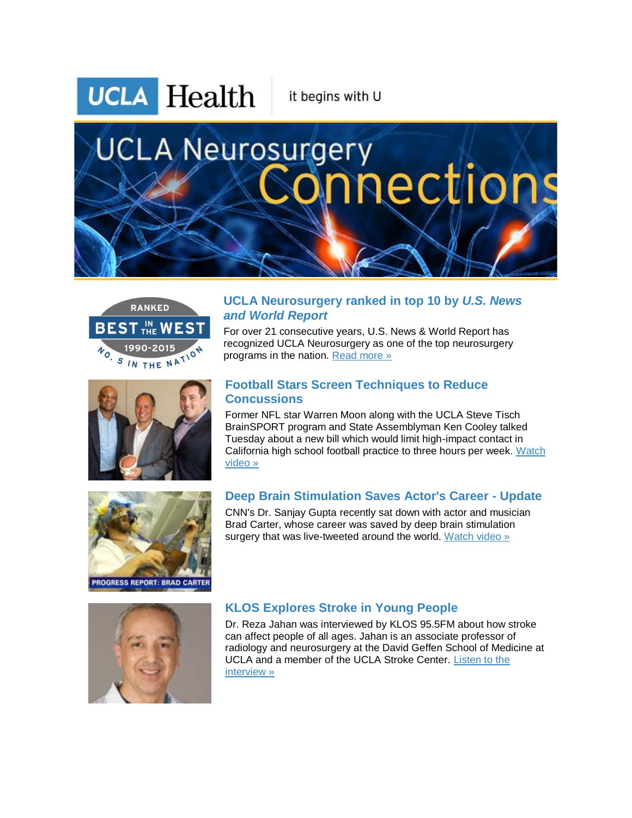**UCLA** Health

it begins with U

# **UCLA Neurosurgery** aections







For over 21 consecutive years, U.S. News & World Report has recognized UCLA Neurosurgery as one of the top neurosurgery programs in the nation. [Read more »](http://r20.rs6.net/tn.jsp?f=001DCMgj_oh8H6ibbDA7PLXAQoZZuLfdqeT0ObGJ-yyQjxd_aHZrbNHGX7HBLGxzdjHaSPt6aWHz2GWVjTj2j7zggeoN89qrHmdODxUGUgaEqItcn0lpL8n-Ff7gWyMsDSbwKFosXPcyZlr0oY6Jpkz_kTGpqye1nYaqE0ZMZnG6Py-_aX_HK3nLsZ3L63QTU-GFwtmq61zLp2J1hqnDx_36D20Qfqv3YfrqlxGwKMUZ9hHhhacbTWX2W_MuhdANPkAzwsYp0FA5mVNeZOaJCmAMQXoKYhuGH_nHOG9p01LvbgJ_PRyrcS5dGyz7L2p8ROecY3IjTm4IF7Da8W0NLyrMBlTaYgi_85ZXZxkLBgxN9_dixQxDL3s3Q==&c=5z-6wAUN9DcQxGnMz3F3dnV-_q0CYqqa6IXEf6xNe2uI_8Txw6QZVQ==&ch=HGghGqc-YEbMYRurp3M9F5bxpjYhBXgwAHfx-SSRFfm0IHDsv6j-Bw==)

### **Football Stars Screen Techniques to Reduce Concussions**

Former NFL star Warren Moon along with the UCLA Steve Tisch BrainSPORT program and State Assemblyman Ken Cooley talked Tuesday about a new bill which would limit high-impact contact in California high school football practice to three hours per week. [Watch](http://r20.rs6.net/tn.jsp?f=001DCMgj_oh8H6ibbDA7PLXAQoZZuLfdqeT0ObGJ-yyQjxd_aHZrbNHGX7HBLGxzdjH9qtHkuUIZYu73B6vJuaF_BtaeO_Bx6h0N52Dnv9zQex9BysQf1DGfxhM5iOa2ORfv7yXLA5zg5CZweE8jOVA5Py_w1l_YWIIuFBPpAhcLKgNNxOSJVOSlnhD9YQyKJ1MShA6LwM5o_50PfefNDnWzubVSfYOlGfr_dj6YyQQYI7vFSRjKFDILv2BCH3KTGce90F9j91pSdOzRcO3tvkyA1-x6C0qsa7cGhGEguUj47eZ-PojYvCYjZ_-4pko-wjJTH6fc4882ksTtu3jVVLvL9psYTNRsdaPxKSMp9c64Jk8emiYsOWwaSBcG9kpZStj6-ULsOX_H6Hvr_QMZZ74NI4CpmWD24JTc6gq_A1ah0JMC--vCpy_9H_NtG3skuLFanr0sQbVhAi68eqRgyw4JDFTOt_ABivqgPp982_3yKYGvyt56GKTjKcb7-fMs5Tk&c=5z-6wAUN9DcQxGnMz3F3dnV-_q0CYqqa6IXEf6xNe2uI_8Txw6QZVQ==&ch=HGghGqc-YEbMYRurp3M9F5bxpjYhBXgwAHfx-SSRFfm0IHDsv6j-Bw==)  [video »](http://r20.rs6.net/tn.jsp?f=001DCMgj_oh8H6ibbDA7PLXAQoZZuLfdqeT0ObGJ-yyQjxd_aHZrbNHGX7HBLGxzdjH9qtHkuUIZYu73B6vJuaF_BtaeO_Bx6h0N52Dnv9zQex9BysQf1DGfxhM5iOa2ORfv7yXLA5zg5CZweE8jOVA5Py_w1l_YWIIuFBPpAhcLKgNNxOSJVOSlnhD9YQyKJ1MShA6LwM5o_50PfefNDnWzubVSfYOlGfr_dj6YyQQYI7vFSRjKFDILv2BCH3KTGce90F9j91pSdOzRcO3tvkyA1-x6C0qsa7cGhGEguUj47eZ-PojYvCYjZ_-4pko-wjJTH6fc4882ksTtu3jVVLvL9psYTNRsdaPxKSMp9c64Jk8emiYsOWwaSBcG9kpZStj6-ULsOX_H6Hvr_QMZZ74NI4CpmWD24JTc6gq_A1ah0JMC--vCpy_9H_NtG3skuLFanr0sQbVhAi68eqRgyw4JDFTOt_ABivqgPp982_3yKYGvyt56GKTjKcb7-fMs5Tk&c=5z-6wAUN9DcQxGnMz3F3dnV-_q0CYqqa6IXEf6xNe2uI_8Txw6QZVQ==&ch=HGghGqc-YEbMYRurp3M9F5bxpjYhBXgwAHfx-SSRFfm0IHDsv6j-Bw==) 



# **Deep Brain Stimulation Saves Actor's Career - Update**

CNN's Dr. Sanjay Gupta recently sat down with actor and musician Brad Carter, whose career was saved by deep brain stimulation surgery that was live-tweeted around the world. [Watch video »](http://r20.rs6.net/tn.jsp?f=001DCMgj_oh8H6ibbDA7PLXAQoZZuLfdqeT0ObGJ-yyQjxd_aHZrbNHGX7HBLGxzdjHQiLYeKRnoiaaiJUW26l_lOjfdJAwTn9JDFDrbGDRKHuTf_-lxUkel7yCNnEERPzA-Mt_c0tAs8dL4isf6awd5f55-gFSDZXWsDI87v-p1jL-aqYm-cn3TYNWSvNeIC5BdZsjkrFN0Xdsn1MSmeUXwwzU_y7182B5u1hZ0ha5UwpYg8IrbeMT_E7Oei5IOqH-KVJOFQq_6GUsxPtEldxwEPzhED3zw9AxZ9vzOIwegVPl-sQ6c-Zons_nspYEFV308c-WhinVY2R-EbEUcg0PHwMQQkZe4B2xUqPdJx1V31F-TQgwvkCygmO0t81NR0KggUSaeJI-Jz7zqULbcUVWyOjULYs6WYJP0fgdKVDON81GvLfS8YcP_BL9QK-3ui20whWYsWDNCfZd25OdcE0RtOFyMg57irau7kUZZ2GzF3lJ7GyNsGxQBmWWx3hYbVfaWMRU1NSYvS53mhWwNQtUx6-h94bVtC506N-wvXX6vT92ypGQay7Wg_nLfm70CiwHnVFfggT-B5HBeeqy5NTU0THkdTA2GMf6&c=5z-6wAUN9DcQxGnMz3F3dnV-_q0CYqqa6IXEf6xNe2uI_8Txw6QZVQ==&ch=HGghGqc-YEbMYRurp3M9F5bxpjYhBXgwAHfx-SSRFfm0IHDsv6j-Bw==)



## **KLOS Explores Stroke in Young People**

Dr. Reza Jahan was interviewed by KLOS 95.5FM about how stroke can affect people of all ages. Jahan is an associate professor of radiology and neurosurgery at the David Geffen School of Medicine at UCLA and a member of the UCLA Stroke Center. [Listen to the](http://r20.rs6.net/tn.jsp?f=001DCMgj_oh8H6ibbDA7PLXAQoZZuLfdqeT0ObGJ-yyQjxd_aHZrbNHGX7HBLGxzdjHyt5mD7czlMjqGJwQSr6umypyL4Vgiq7PmiUHJkvwnSSg8Awp6JjLGQKvxnT4Z6ImviPO4bYobL-un1jQYefBi8Jp_c5kls7uKYzt7_B0Fo2iLGNorT3miXwjXvOXJ-AvnMnv1NzCi5rEmzEQuMV90ncnvBUhhMmkYy4I7f_Sl0tWHWDxwYkQj16S0FfiXgax7Eq89j-HKtczSsL0LVxAPaeZ20EV1WHOMBZyvBuzGrGIE5iUGLtX8p9jE9GHXhUQhdvCtDrJ1kLHz5RDnisLoGtmPGRKKglCH0LAn8-iLrDenoH5rr9QdFFu6jOAaRccN_Py1OqNbHBDxl4ZSDrSe40dVjiimLFa4Orak3Hn0DH2Nf3z401h9A==&c=5z-6wAUN9DcQxGnMz3F3dnV-_q0CYqqa6IXEf6xNe2uI_8Txw6QZVQ==&ch=HGghGqc-YEbMYRurp3M9F5bxpjYhBXgwAHfx-SSRFfm0IHDsv6j-Bw==)  [interview »](http://r20.rs6.net/tn.jsp?f=001DCMgj_oh8H6ibbDA7PLXAQoZZuLfdqeT0ObGJ-yyQjxd_aHZrbNHGX7HBLGxzdjHyt5mD7czlMjqGJwQSr6umypyL4Vgiq7PmiUHJkvwnSSg8Awp6JjLGQKvxnT4Z6ImviPO4bYobL-un1jQYefBi8Jp_c5kls7uKYzt7_B0Fo2iLGNorT3miXwjXvOXJ-AvnMnv1NzCi5rEmzEQuMV90ncnvBUhhMmkYy4I7f_Sl0tWHWDxwYkQj16S0FfiXgax7Eq89j-HKtczSsL0LVxAPaeZ20EV1WHOMBZyvBuzGrGIE5iUGLtX8p9jE9GHXhUQhdvCtDrJ1kLHz5RDnisLoGtmPGRKKglCH0LAn8-iLrDenoH5rr9QdFFu6jOAaRccN_Py1OqNbHBDxl4ZSDrSe40dVjiimLFa4Orak3Hn0DH2Nf3z401h9A==&c=5z-6wAUN9DcQxGnMz3F3dnV-_q0CYqqa6IXEf6xNe2uI_8Txw6QZVQ==&ch=HGghGqc-YEbMYRurp3M9F5bxpjYhBXgwAHfx-SSRFfm0IHDsv6j-Bw==)